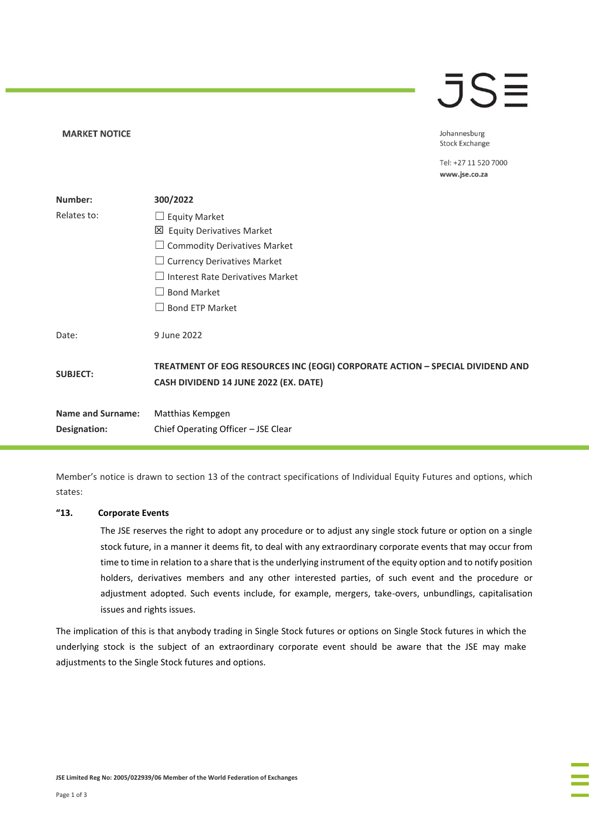### $\overline{\mathsf{J}}\mathsf{S}\mathsf{\Xi}$

Johannesburg **Stock Exchange** 

Tel: +27 11 520 7000 www.jse.co.za

| Number:                  | 300/2022                                                                                                               |  |
|--------------------------|------------------------------------------------------------------------------------------------------------------------|--|
| Relates to:              | $\Box$ Equity Market                                                                                                   |  |
|                          | 凶 Equity Derivatives Market                                                                                            |  |
|                          | $\Box$ Commodity Derivatives Market                                                                                    |  |
|                          | $\Box$ Currency Derivatives Market                                                                                     |  |
|                          | $\Box$ Interest Rate Derivatives Market                                                                                |  |
|                          | <b>Bond Market</b>                                                                                                     |  |
|                          | <b>Bond ETP Market</b>                                                                                                 |  |
| Date:                    | 9 June 2022                                                                                                            |  |
| <b>SUBJECT:</b>          | TREATMENT OF EOG RESOURCES INC (EOGI) CORPORATE ACTION - SPECIAL DIVIDEND AND<br>CASH DIVIDEND 14 JUNE 2022 (EX. DATE) |  |
| <b>Name and Surname:</b> | Matthias Kempgen                                                                                                       |  |
| Designation:             | Chief Operating Officer - JSE Clear                                                                                    |  |

Member's notice is drawn to section 13 of the contract specifications of Individual Equity Futures and options, which states:

### **"13. Corporate Events**

**MARKET NOTICE** 

The JSE reserves the right to adopt any procedure or to adjust any single stock future or option on a single stock future, in a manner it deems fit, to deal with any extraordinary corporate events that may occur from time to time in relation to a share that is the underlying instrument of the equity option and to notify position holders, derivatives members and any other interested parties, of such event and the procedure or adjustment adopted. Such events include, for example, mergers, take-overs, unbundlings, capitalisation issues and rights issues.

The implication of this is that anybody trading in Single Stock futures or options on Single Stock futures in which the underlying stock is the subject of an extraordinary corporate event should be aware that the JSE may make adjustments to the Single Stock futures and options.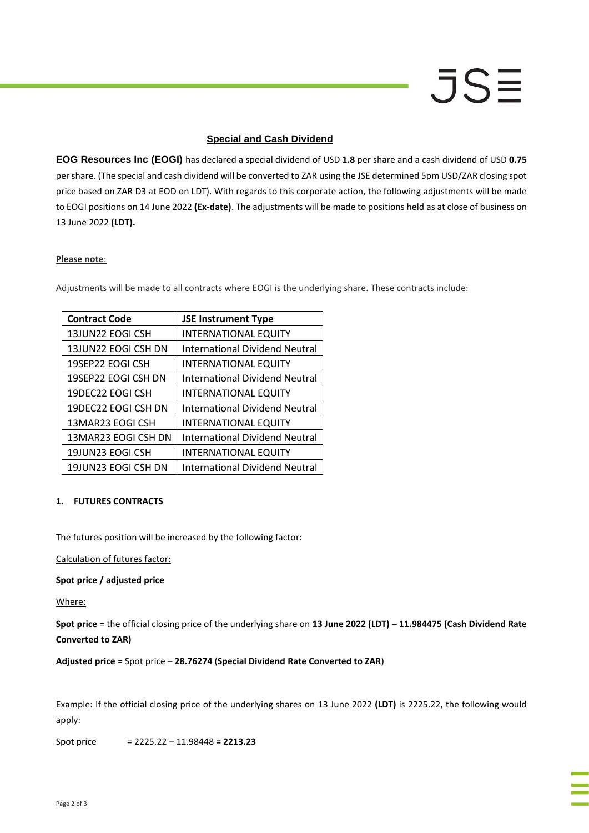# JSE

### **Special and Cash Dividend**

**EOG Resources Inc (EOGI)** has declared a special dividend of USD **1.8** per share and a cash dividend of USD **0.75** per share. (The special and cash dividend will be converted to ZAR using the JSE determined 5pm USD/ZAR closing spot price based on ZAR D3 at EOD on LDT). With regards to this corporate action, the following adjustments will be made to EOGI positions on 14 June 2022 **(Ex-date)**. The adjustments will be made to positions held as at close of business on 13 June 2022 **(LDT).**

### **Please note**:

Adjustments will be made to all contracts where EOGI is the underlying share. These contracts include:

| <b>Contract Code</b> | <b>JSE Instrument Type</b>            |
|----------------------|---------------------------------------|
| 13JUN22 EOGI CSH     | <b>INTERNATIONAL EQUITY</b>           |
| 13JUN22 EOGI CSH DN  | International Dividend Neutral        |
| 19SEP22 EOGI CSH     | <b>INTERNATIONAL EQUITY</b>           |
| 19SEP22 EOGI CSH DN  | <b>International Dividend Neutral</b> |
| 19DEC22 EOGI CSH     | <b>INTERNATIONAL EQUITY</b>           |
| 19DEC22 EOGI CSH DN  | <b>International Dividend Neutral</b> |
| 13MAR23 EOGI CSH     | <b>INTERNATIONAL EQUITY</b>           |
| 13MAR23 EOGI CSH DN  | International Dividend Neutral        |
| 19JUN23 EOGI CSH     | <b>INTERNATIONAL EQUITY</b>           |
| 19JUN23 EOGI CSH DN  | International Dividend Neutral        |

### **1. FUTURES CONTRACTS**

The futures position will be increased by the following factor:

Calculation of futures factor:

### **Spot price / adjusted price**

Where:

**Spot price** = the official closing price of the underlying share on **13 June 2022 (LDT) – 11.984475 (Cash Dividend Rate Converted to ZAR)**

**Adjusted price** = Spot price – **28.76274** (**Special Dividend Rate Converted to ZAR**)

Example: If the official closing price of the underlying shares on 13 June 2022 **(LDT)** is 2225.22, the following would apply:

Spot price = 2225.22 – 11.98448 **= 2213.23**